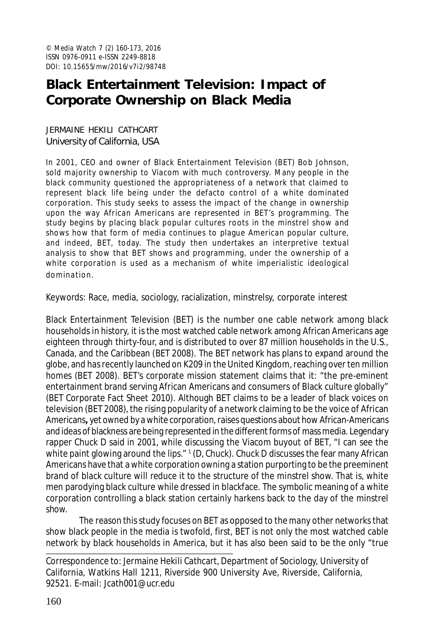# **Black Entertainment Television: Impact of Corporate Ownership on Black Media**

JERMAINE HEKILI CATHCART University of California, USA

In 2001, CEO and owner of Black Entertainment Television (BET) Bob Johnson, sold majority ownership to Viacom with much controversy. Many people in the black community questioned the appropriateness of a network that claimed to represent black life being under the defacto control of a white dominated corporation. This study seeks to assess the impact of the change in ownership upon the way African Americans are represented in BET's programming. The study begins by placing black popular cultures roots in the minstrel show and shows how that form of media continues to plague American popular culture, and indeed, BET, today. The study then undertakes an interpretive textual analysis to show that BET shows and programming, under the ownership of a white corporation is used as a mechanism of white imperialistic ideological domina tion.

Keywords: Race, media, sociology, racialization, minstrelsy, corporate interest

Black Entertainment Television (BET) is the number one cable network among black households in history, it is the most watched cable network among African Americans age eighteen through thirty-four, and is distributed to over 87 million households in the U.S., Canada, and the Caribbean (BET 2008). The BET network has plans to expand around the globe, and has recently launched on K209 in the United Kingdom, reaching over ten million homes (BET 2008). BET's corporate mission statement claims that it: "the pre-eminent entertainment brand serving African Americans and consumers of Black culture globally" (BET Corporate Fact Sheet 2010). Although BET claims to be a leader of black voices on television (BET 2008), the rising popularity of a network claiming to be the voice of African Americans**,** yet owned by a white corporation, raises questions about how African-Americans and ideas of blackness are being represented in the different forms of mass media. Legendary rapper Chuck D said in 2001, while discussing the Viacom buyout of BET, "I can see the white paint glowing around the lips." <sup>1</sup> (D, Chuck). Chuck D discusses the fear many African Americans have that a white corporation owning a station purporting to be the preeminent brand of black culture will reduce it to the structure of the minstrel show. That is, white men parodying black culture while dressed in blackface. The symbolic meaning of a white corporation controlling a black station certainly harkens back to the day of the minstrel show.

The reason this study focuses on BET as opposed to the many other networks that show black people in the media is twofold, first, BET is not only the most watched cable network by black households in America, but it has also been said to be the only "true

Correspondence to: Jermaine Hekili Cathcart, Department of Sociology, University of California, Watkins Hall 1211, Riverside 900 University Ave, Riverside, California, 92521. E-mail: Jcath001@ucr.edu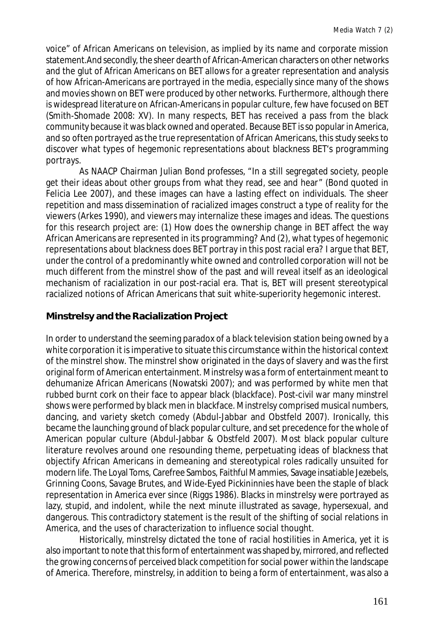voice" of African Americans on television, as implied by its name and corporate mission statement.And secondly, the sheer dearth of African-American characters on other networks and the glut of African Americans on BET allows for a greater representation and analysis of how African-Americans are portrayed in the media, especially since many of the shows and movies shown on BET were produced by other networks. Furthermore, although there is widespread literature on African-Americans in popular culture, few have focused on BET (Smith-Shomade 2008: XV). In many respects, BET has received a pass from the black community because it was black owned and operated. Because BET is so popular in America, and so often portrayed as the true representation of African Americans, this study seeks to discover what types of hegemonic representations about blackness BET's programming portrays.

As NAACP Chairman Julian Bond professes, "In a still segregated society, people get their ideas about other groups from what they read, see and hear" (Bond quoted in Felicia Lee 2007), and these images can have a lasting effect on individuals. The sheer repetition and mass dissemination of racialized images construct a type of reality for the viewers (Arkes 1990), and viewers may internalize these images and ideas. The questions for this research project are: (1) How does the ownership change in BET affect the way African Americans are represented in its programming? And (2), what types of hegemonic representations about blackness does BET portray in this post racial era? I argue that BET, under the control of a predominantly white owned and controlled corporation will not be much different from the minstrel show of the past and will reveal itself as an ideological mechanism of racialization in our post-racial era. That is, BET will present stereotypical racialized notions of African Americans that suit white-superiority hegemonic interest.

### **Minstrelsy and the Racialization Project**

In order to understand the seeming paradox of a black television station being owned by a white corporation it is imperative to situate this circumstance within the historical context of the minstrel show. The minstrel show originated in the days of slavery and was the first original form of American entertainment. Minstrelsy was a form of entertainment meant to dehumanize African Americans (Nowatski 2007); and was performed by white men that rubbed burnt cork on their face to appear black (blackface). Post-civil war many minstrel shows were performed by black men in blackface. Minstrelsy comprised musical numbers, dancing, and variety sketch comedy (Abdul-Jabbar and Obstfeld 2007). Ironically, this became the launching ground of black popular culture, and set precedence for the whole of American popular culture (Abdul-Jabbar & Obstfeld 2007). Most black popular culture literature revolves around one resounding theme, perpetuating ideas of blackness that objectify African Americans in demeaning and stereotypical roles radically unsuited for modern life. The Loyal Toms, Carefree Sambos, Faithful Mammies, Savage insatiable Jezebels, Grinning Coons, Savage Brutes, and Wide-Eyed Pickininnies have been the staple of black representation in America ever since (Riggs 1986). Blacks in minstrelsy were portrayed as lazy, stupid, and indolent, while the next minute illustrated as savage, hypersexual, and dangerous. This contradictory statement is the result of the shifting of social relations in America, and the uses of characterization to influence social thought.

Historically, minstrelsy dictated the tone of racial hostilities in America, yet it is also important to note that this form of entertainment was shaped by, mirrored, and reflected the growing concerns of perceived black competition for social power within the landscape of America. Therefore, minstrelsy, in addition to being a form of entertainment, was also a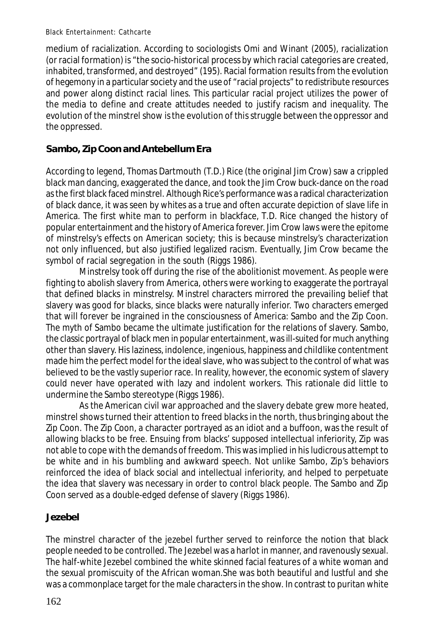medium of racialization. According to sociologists Omi and Winant (2005), racialization (or racial formation) is "the socio-historical process by which racial categories are created, inhabited, transformed, and destroyed" (195). Racial formation results from the evolution of hegemony in a particular society and the use of "racial projects" to redistribute resources and power along distinct racial lines. This particular racial project utilizes the power of the media to define and create attitudes needed to justify racism and inequality. The evolution of the minstrel show is the evolution of this struggle between the oppressor and the oppressed.

# **Sambo, Zip Coon and Antebellum Era**

According to legend, Thomas Dartmouth (T.D.) Rice (the original Jim Crow) saw a crippled black man dancing, exaggerated the dance, and took the Jim Crow buck-dance on the road as the first black faced minstrel. Although Rice's performance was a radical characterization of black dance, it was seen by whites as a true and often accurate depiction of slave life in America. The first white man to perform in blackface, T.D. Rice changed the history of popular entertainment and the history of America forever. Jim Crow laws were the epitome of minstrelsy's effects on American society; this is because minstrelsy's characterization not only influenced, but also justified legalized racism. Eventually, Jim Crow became the symbol of racial segregation in the south (Riggs 1986).

Minstrelsy took off during the rise of the abolitionist movement. As people were fighting to abolish slavery from America, others were working to exaggerate the portrayal that defined blacks in minstrelsy. Minstrel characters mirrored the prevailing belief that slavery was good for blacks, since blacks were naturally inferior. Two characters emerged that will forever be ingrained in the consciousness of America: Sambo and the Zip Coon. The myth of Sambo became the ultimate justification for the relations of slavery. Sambo, the classic portrayal of black men in popular entertainment, was ill-suited for much anything other than slavery. His laziness, indolence, ingenious, happiness and childlike contentment made him the perfect model for the ideal slave, who was subject to the control of what was believed to be the vastly superior race. In reality, however, the economic system of slavery could never have operated with lazy and indolent workers. This rationale did little to undermine the Sambo stereotype (Riggs 1986).

As the American civil war approached and the slavery debate grew more heated, minstrel shows turned their attention to freed blacks in the north, thus bringing about the Zip Coon. The Zip Coon, a character portrayed as an idiot and a buffoon, was the result of allowing blacks to be free. Ensuing from blacks' supposed intellectual inferiority, Zip was not able to cope with the demands of freedom. This was implied in his ludicrous attempt to be white and in his bumbling and awkward speech. Not unlike Sambo, Zip's behaviors reinforced the idea of black social and intellectual inferiority, and helped to perpetuate the idea that slavery was necessary in order to control black people. The Sambo and Zip Coon served as a double-edged defense of slavery (Riggs 1986).

## **Jezebel**

The minstrel character of the jezebel further served to reinforce the notion that black people needed to be controlled. The Jezebel was a harlot in manner, and ravenously sexual. The half-white Jezebel combined the white skinned facial features of a white woman and the sexual promiscuity of the African woman.She was both beautiful and lustful and she was a commonplace target for the male characters in the show. In contrast to puritan white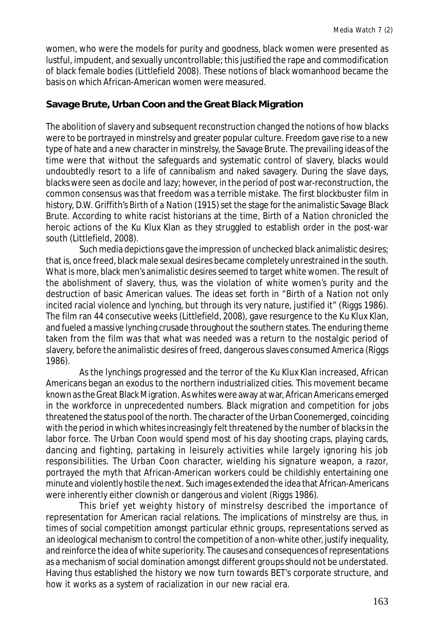women, who were the models for purity and goodness, black women were presented as lustful, impudent, and sexually uncontrollable; this justified the rape and commodification of black female bodies (Littlefield 2008). These notions of black womanhood became the basis on which African-American women were measured.

### **Savage Brute, Urban Coon and the Great Black Migration**

The abolition of slavery and subsequent reconstruction changed the notions of how blacks were to be portrayed in minstrelsy and greater popular culture. Freedom gave rise to a new type of hate and a new character in minstrelsy, the Savage Brute. The prevailing ideas of the time were that without the safeguards and systematic control of slavery, blacks would undoubtedly resort to a life of cannibalism and naked savagery. During the slave days, blacks were seen as docile and lazy; however, in the period of post war-reconstruction, the common consensus was that freedom was a terrible mistake. The first blockbuster film in history, D.W. Griffith's *Birth of a Nation* (1915) set the stage for the animalistic Savage Black Brute. According to white racist historians at the time, *Birth of a Nation* chronicled the heroic actions of the Ku Klux Klan as they struggled to establish order in the post-war south (Littlefield, 2008).

Such media depictions gave the impression of unchecked black animalistic desires; that is, once freed, black male sexual desires became completely unrestrained in the south. What is more, black men's animalistic desires seemed to target white women. The result of the abolishment of slavery, thus, was the violation of white women's purity and the destruction of basic American values. The ideas set forth in "*Birth of a Nation* not only incited racial violence and lynching, but through its very nature, justified it" (Riggs 1986). The film ran 44 consecutive weeks (Littlefield, 2008), gave resurgence to the Ku Klux Klan, and fueled a massive lynching crusade throughout the southern states. The enduring theme taken from the film was that what was needed was a return to the nostalgic period of slavery, before the animalistic desires of freed, dangerous slaves consumed America (Riggs 1986).

As the lynchings progressed and the terror of the Ku Klux Klan increased, African Americans began an exodus to the northern industrialized cities. This movement became known as the Great Black Migration. As whites were away at war, African Americans emerged in the workforce in unprecedented numbers. Black migration and competition for jobs threatened the status pool of the north. The character of the Urban Coonemerged, coinciding with the period in which whites increasingly felt threatened by the number of blacks in the labor force. The Urban Coon would spend most of his day shooting craps, playing cards, dancing and fighting, partaking in leisurely activities while largely ignoring his job responsibilities. The Urban Coon character, wielding his signature weapon, a razor, portrayed the myth that African-American workers could be childishly entertaining one minute and violently hostile the next. Such images extended the idea that African-Americans were inherently either clownish or dangerous and violent (Riggs 1986).

This brief yet weighty history of minstrelsy described the importance of representation for American racial relations. The implications of minstrelsy are thus, in times of social competition amongst particular ethnic groups, representations served as an ideological mechanism to control the competition of a non-white other, justify inequality, and reinforce the idea of white superiority. The causes and consequences of representations as a mechanism of social domination amongst different groups should not be understated. Having thus established the history we now turn towards BET's corporate structure, and how it works as a system of racialization in our new racial era.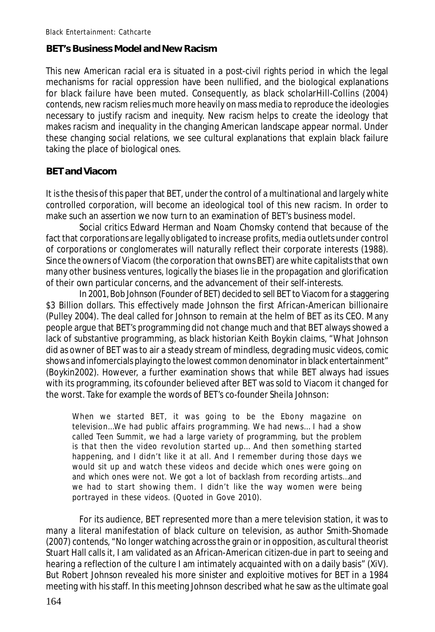### **BET's Business Model and New Racism**

This new American racial era is situated in a post-civil rights period in which the legal mechanisms for racial oppression have been nullified, and the biological explanations for black failure have been muted. Consequently, as black scholarHill-Collins (2004) contends, new racism relies much more heavily on mass media to reproduce the ideologies necessary to justify racism and inequity. New racism helps to create the ideology that makes racism and inequality in the changing American landscape appear normal. Under these changing social relations, we see cultural explanations that explain black failure taking the place of biological ones.

### **BET and Viacom**

It is the thesis of this paper that BET, under the control of a multinational and largely white controlled corporation, will become an ideological tool of this new racism. In order to make such an assertion we now turn to an examination of BET's business model.

Social critics Edward Herman and Noam Chomsky contend that because of the fact that corporations are legally obligated to increase profits, media outlets under control of corporations or conglomerates will naturally reflect their corporate interests (1988). Since the owners of Viacom (the corporation that owns BET) are white capitalists that own many other business ventures, logically the biases lie in the propagation and glorification of their own particular concerns, and the advancement of their self-interests.

In 2001, Bob Johnson (Founder of BET) decided to sell BET to Viacom for a staggering \$3 Billion dollars. This effectively made Johnson the first African-American billionaire (Pulley 2004). The deal called for Johnson to remain at the helm of BET as its CEO. Many people argue that BET's programming did not change much and that BET always showed a lack of substantive programming, as black historian Keith Boykin claims, "What Johnson did as owner of BET was to air a steady stream of mindless, degrading music videos, comic shows and infomercials playing to the lowest common denominator in black entertainment" (Boykin2002). However, a further examination shows that while BET always had issues with its programming, its cofounder believed after BET was sold to Viacom it changed for the worst. Take for example the words of BET's co-founder Sheila Johnson:

When we started BET, it was going to be the Ebony magazine on television…We had public affairs programming. We had news… I had a show called *Teen Summit*, we had a large variety of programming, but the problem is that then the video revolution started up… And then something started happening, and I didn't like it at all. And I remember during those days we would sit up and watch these videos and decide which ones were going on and which ones were not. We got a lot of backlash from recording artists…and we had to start showing them. I didn't like the way women were being portrayed in these videos. (Quoted in Gove 2010).

For its audience, BET represented more than a mere television station, it was to many a literal manifestation of black culture on television, as author Smith-Shomade (2007) contends, "No longer watching across the grain or in opposition, as cultural theorist Stuart Hall calls it, I am validated as an African-American citizen-due in part to seeing and hearing a reflection of the culture I am intimately acquainted with on a daily basis" (XiV). But Robert Johnson revealed his more sinister and exploitive motives for BET in a 1984 meeting with his staff. In this meeting Johnson described what he saw as the ultimate goal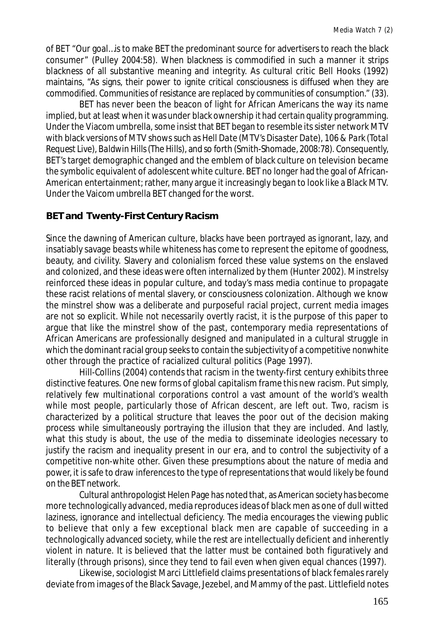of BET "Our goal…is to make BET the predominant source for advertisers to reach the black consumer" (Pulley 2004:58). When blackness is commodified in such a manner it strips blackness of all substantive meaning and integrity. As cultural critic Bell Hooks (1992) maintains, "As signs, their power to ignite critical consciousness is diffused when they are commodified. Communities of resistance are replaced by communities of consumption." (33).

BET has never been the beacon of light for African Americans the way its name implied, but at least when it was under black ownership it had certain quality programming. Under the Viacom umbrella, some insist that BET began to resemble its sister network MTV with black versions of MTV shows such as *Hell Date* (MTV's *Disaster Date*), *106 & Park* (*Total Request Live*), *Baldwin Hills* (*The Hills*), and so forth (Smith-Shomade, 2008:78). Consequently, BET's target demographic changed and the emblem of black culture on television became the symbolic equivalent of adolescent white culture. BET no longer had the goal of African-American entertainment; rather, many argue it increasingly began to look like a Black MTV. Under the Vaicom umbrella BET changed for the worst.

### **BET and Twenty-First Century Racism**

Since the dawning of American culture, blacks have been portrayed as ignorant, lazy, and insatiably savage beasts while whiteness has come to represent the epitome of goodness, beauty, and civility. Slavery and colonialism forced these value systems on the enslaved and colonized, and these ideas were often internalized by them (Hunter 2002). Minstrelsy reinforced these ideas in popular culture, and today's mass media continue to propagate these racist relations of mental slavery, or consciousness colonization. Although we know the minstrel show was a deliberate and purposeful racial project, current media images are not so explicit. While not necessarily overtly racist, it is the purpose of this paper to argue that like the minstrel show of the past, contemporary media representations of African Americans are professionally designed and manipulated in a cultural struggle in which the dominant racial group seeks to contain the subjectivity of a competitive nonwhite other through the practice of racialized cultural politics (Page 1997).

Hill-Collins (2004) contends that racism in the twenty-first century exhibits three distinctive features. One new forms of global capitalism frame this new racism. Put simply, relatively few multinational corporations control a vast amount of the world's wealth while most people, particularly those of African descent, are left out. Two, racism is characterized by a political structure that leaves the poor out of the decision making process while simultaneously portraying the illusion that they are included. And lastly, what this study is about, the use of the media to disseminate ideologies necessary to justify the racism and inequality present in our era, and to control the subjectivity of a competitive non-white other. Given these presumptions about the nature of media and power, it is safe to draw inferences to the type of representations that would likely be found on the BET network.

Cultural anthropologist Helen Page has noted that, as American society has become more technologically advanced, media reproduces ideas of black men as one of dull witted laziness, ignorance and intellectual deficiency. The media encourages the viewing public to believe that only a few exceptional black men are capable of succeeding in a technologically advanced society, while the rest are intellectually deficient and inherently violent in nature. It is believed that the latter must be contained both figuratively and literally (through prisons), since they tend to fail even when given equal chances (1997).

Likewise, sociologist Marci Littlefield claims presentations of black females rarely deviate from images of the Black Savage, Jezebel, and Mammy of the past. Littlefield notes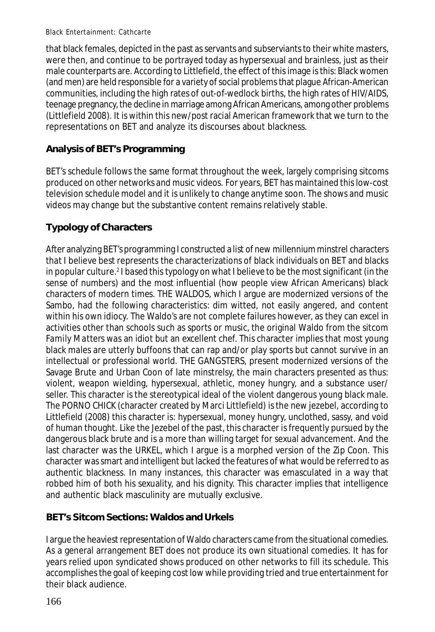that black females, depicted in the past as servants and subserviants to their white masters, were then, and continue to be portrayed today as hypersexual and brainless, just as their male counterparts are. According to Littlefield, the effect of this image is this: Black women (and men) are held responsible for a variety of social problems that plague African-American communities, including the high rates of out-of-wedlock births, the high rates of HIV/AIDS, teenage pregnancy, the decline in marriage among African Americans, among other problems (Littlefield 2008). It is within this new/post racial American framework that we turn to the representations on BET and analyze its discourses about blackness.

## **Analysis of BET's Programming**

BET's schedule follows the same format throughout the week, largely comprising sitcoms produced on other networks and music videos. For years, BET has maintained this low-cost television schedule model and it is unlikely to change anytime soon. The shows and music videos may change but the substantive content remains relatively stable.

# **Typology of Characters**

After analyzing BET's programming I constructed a list of new millennium minstrel characters that I believe best represents the characterizations of black individuals on BET and blacks in popular culture.<sup>2</sup> I based this typology on what I believe to be the most significant (in the sense of numbers) and the most influential (how people view African Americans) black characters of modern times. THE WALDOS, which I argue are modernized versions of the Sambo, had the following characteristics: dim witted, not easily angered, and content within his own idiocy. The Waldo's are not complete failures however, as they can excel in activities other than schools such as sports or music, the original Waldo from the sitcom *Family Matters* was an idiot but an excellent chef. This character implies that most young black males are utterly buffoons that can rap and/or play sports but cannot survive in an intellectual or professional world. THE GANGSTERS, present modernized versions of the Savage Brute and Urban Coon of late minstrelsy, the main characters presented as thus: violent, weapon wielding, hypersexual, athletic, money hungry, and a substance user/ seller. This character is the stereotypical ideal of the violent dangerous young black male. The PORNO CHICK (character created by Marci Littlefield) is the new jezebel, according to Littlefield (2008) this character is: hypersexual, money hungry, unclothed, sassy, and void of human thought. Like the Jezebel of the past, this character is frequently pursued by the dangerous black brute and is a more than willing target for sexual advancement. And the last character was the URKEL, which I argue is a morphed version of the Zip Coon. This character was smart and intelligent but lacked the features of what would be referred to as authentic blackness. In many instances, this character was emasculated in a way that robbed him of both his sexuality, and his dignity. This character implies that intelligence and authentic black masculinity are mutually exclusive.

# **BET's Sitcom Sections: Waldos and Urkels**

I argue the heaviest representation of Waldo characters came from the situational comedies. As a general arrangement BET does not produce its own situational comedies. It has for years relied upon syndicated shows produced on other networks to fill its schedule. This accomplishes the goal of keeping cost low while providing tried and true entertainment for their black audience.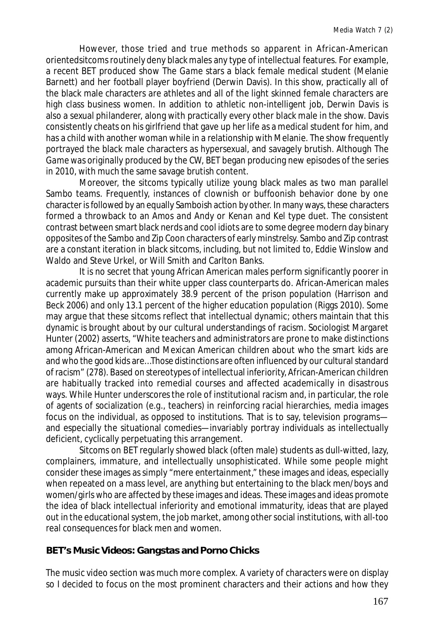However, those tried and true methods so apparent in African-American orientedsitcoms routinely deny black males any type of intellectual features. For example, a recent BET produced show *The Game* stars a black female medical student (Melanie Barnett) and her football player boyfriend (Derwin Davis). In this show, practically all of the black male characters are athletes and all of the light skinned female characters are high class business women. In addition to athletic non-intelligent job, Derwin Davis is also a sexual philanderer, along with practically every other black male in the show. Davis consistently cheats on his girlfriend that gave up her life as a medical student for him, and has a child with another woman while in a relationship with Melanie. The show frequently portrayed the black male characters as hypersexual, and savagely brutish. Although *The Game* was originally produced by the CW, BET began producing new episodes of the series in 2010, with much the same savage brutish content.

Moreover, the sitcoms typically utilize young black males as two man parallel Sambo teams. Frequently, instances of clownish or buffoonish behavior done by one character is followed by an equally Samboish action by other. In many ways, these characters formed a throwback to an *Amos and Andy* or *Kenan and Kel* type duet. The consistent contrast between smart black nerds and cool idiots are to some degree modern day binary opposites of the Sambo and Zip Coon characters of early minstrelsy. Sambo and Zip contrast are a constant iteration in black sitcoms, including, but not limited to, Eddie Winslow and Waldo and Steve Urkel, or Will Smith and Carlton Banks.

It is no secret that young African American males perform significantly poorer in academic pursuits than their white upper class counterparts do. African-American males currently make up approximately 38.9 percent of the prison population (Harrison and Beck 2006) and only 13.1 percent of the higher education population (Riggs 2010). Some may argue that these sitcoms reflect that intellectual dynamic; others maintain that this dynamic is brought about by our cultural understandings of racism. Sociologist Margaret Hunter (2002) asserts, "White teachers and administrators are prone to make distinctions among African-American and Mexican American children about who the smart kids are and who the good kids are…Those distinctions are often influenced by our cultural standard of racism" (278). Based on stereotypes of intellectual inferiority, African-American children are habitually tracked into remedial courses and affected academically in disastrous ways. While Hunter underscores the role of institutional racism and, in particular, the role of agents of socialization (e.g., teachers) in reinforcing racial hierarchies, media images focus on the individual, as opposed to institutions. That is to say, television programs and especially the situational comedies—invariably portray individuals as intellectually deficient, cyclically perpetuating this arrangement.

Sitcoms on BET regularly showed black (often male) students as dull-witted, lazy, complainers, immature, and intellectually unsophisticated. While some people might consider these images as simply "mere entertainment," these images and ideas, especially when repeated on a mass level, are anything but entertaining to the black men/boys and women/girls who are affected by these images and ideas. These images and ideas promote the idea of black intellectual inferiority and emotional immaturity, ideas that are played out in the educational system, the job market, among other social institutions, with all-too real consequences for black men and women.

### **BET's Music Videos: Gangstas and Porno Chicks**

The music video section was much more complex. A variety of characters were on display so I decided to focus on the most prominent characters and their actions and how they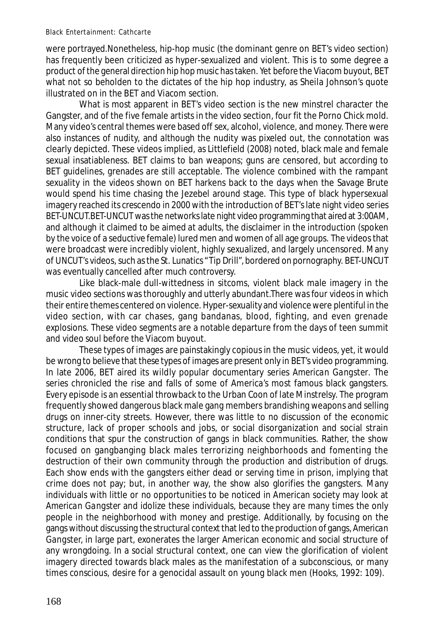were portrayed.Nonetheless, hip-hop music (the dominant genre on BET's video section) has frequently been criticized as hyper-sexualized and violent. This is to some degree a product of the general direction hip hop music has taken. Yet before the Viacom buyout, BET what not so beholden to the dictates of the hip hop industry, as Sheila Johnson's quote illustrated on in the BET and Viacom section.

What is most apparent in BET's video section is the new minstrel character the Gangster, and of the five female artists in the video section, four fit the Porno Chick mold. Many video's central themes were based off sex, alcohol, violence, and money. There were also instances of nudity, and although the nudity was pixeled out, the connotation was clearly depicted. These videos implied, as Littlefield (2008) noted, black male and female sexual insatiableness. BET claims to ban weapons; guns are censored, but according to BET guidelines, grenades are still acceptable. The violence combined with the rampant sexuality in the videos shown on BET harkens back to the days when the Savage Brute would spend his time chasing the Jezebel around stage. This type of black hypersexual imagery reached its crescendo in 2000 with the introduction of BET's late night video series *BET-UNCUT.BET-UNCUT* was the networks late night video programming that aired at 3:00AM, and although it claimed to be aimed at adults, the disclaimer in the introduction (spoken by the voice of a seductive female) lured men and women of all age groups. The videos that were broadcast were incredibly violent, highly sexualized, and largely uncensored. Many of *UNCUT's* videos, such as the St. Lunatics "Tip Drill", bordered on pornography. BET-UNCUT was eventually cancelled after much controversy.

Like black-male dull-wittedness in sitcoms, violent black male imagery in the music video sections was thoroughly and utterly abundant.There was four videos in which their entire themes centered on violence. Hyper-sexuality and violence were plentiful in the video section, with car chases, gang bandanas, blood, fighting, and even grenade explosions. These video segments are a notable departure from the days of teen summit and video soul before the Viacom buyout.

These types of images are painstakingly copious in the music videos, yet, it would be wrong to believe that these types of images are present only in BET's video programming. In late 2006, BET aired its wildly popular documentary series *American Gangster*. The series chronicled the rise and falls of some of America's most famous black gangsters. Every episode is an essential throwback to the Urban Coon of late Minstrelsy. The program frequently showed dangerous black male gang members brandishing weapons and selling drugs on inner-city streets. However, there was little to no discussion of the economic structure, lack of proper schools and jobs, or social disorganization and social strain conditions that spur the construction of gangs in black communities. Rather, the show focused on gangbanging black males terrorizing neighborhoods and fomenting the destruction of their own community through the production and distribution of drugs. Each show ends with the gangsters either dead or serving time in prison, implying that crime does not pay; but, in another way, the show also glorifies the gangsters. Many individuals with little or no opportunities to be noticed in American society may look at *American Gangster* and idolize these individuals, because they are many times the only people in the neighborhood with money and prestige. Additionally, by focusing on the gangs without discussing the structural context that led to the production of gangs, *American Gangster,* in large part, exonerates the larger American economic and social structure of any wrongdoing. In a social structural context, one can view the glorification of violent imagery directed towards black males as the manifestation of a subconscious, or many times conscious, desire for a genocidal assault on young black men (Hooks, 1992: 109).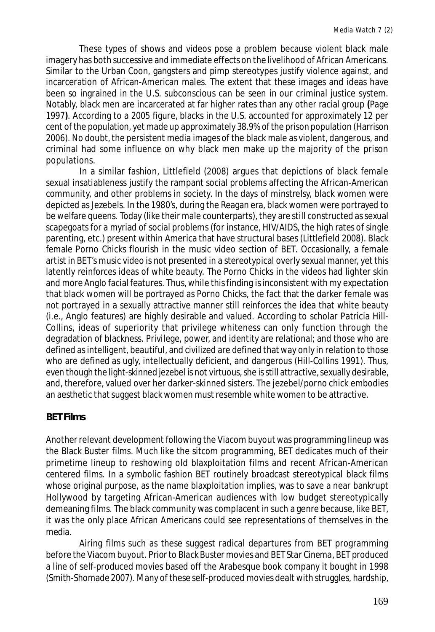These types of shows and videos pose a problem because violent black male imagery has both successive and immediate effects on the livelihood of African Americans. Similar to the Urban Coon, gangsters and pimp stereotypes justify violence against, and incarceration of African-American males. The extent that these images and ideas have been so ingrained in the U.S. subconscious can be seen in our criminal justice system. Notably, black men are incarcerated at far higher rates than any other racial group **(**Page 1997**)**. According to a 2005 figure, blacks in the U.S. accounted for approximately 12 per cent of the population, yet made up approximately 38.9% of the prison population (Harrison 2006). No doubt, the persistent media images of the black male as violent, dangerous, and criminal had some influence on why black men make up the majority of the prison populations.

In a similar fashion, Littlefield (2008) argues that depictions of black female sexual insatiableness justify the rampant social problems affecting the African-American community, and other problems in society. In the days of minstrelsy, black women were depicted as Jezebels. In the 1980's, during the Reagan era, black women were portrayed to be welfare queens. Today (like their male counterparts), they are still constructed as sexual scapegoats for a myriad of social problems (for instance, HIV/AIDS, the high rates of single parenting, etc.) present within America that have structural bases (Littlefield 2008). Black female Porno Chicks flourish in the music video section of BET. Occasionally, a female artist in BET's music video is not presented in a stereotypical overly sexual manner, yet this latently reinforces ideas of white beauty. The Porno Chicks in the videos had lighter skin and more Anglo facial features. Thus, while this finding is inconsistent with my expectation that black women will be portrayed as Porno Chicks, the fact that the darker female was not portrayed in a sexually attractive manner still reinforces the idea that white beauty (i.e., Anglo features) are highly desirable and valued. According to scholar Patricia Hill-Collins, ideas of superiority that privilege whiteness can only function through the degradation of blackness. Privilege, power, and identity are relational; and those who are defined as intelligent, beautiful, and civilized are defined that way only in relation to those who are defined as ugly, intellectually deficient, and dangerous (Hill-Collins 1991). Thus, even though the light-skinned jezebel is not virtuous, she is still attractive, sexually desirable, and, therefore, valued over her darker-skinned sisters. The jezebel/porno chick embodies an aesthetic that suggest black women must resemble white women to be attractive.

### **BET Films**

Another relevant development following the Viacom buyout was programming lineup was the Black Buster films. Much like the sitcom programming, BET dedicates much of their primetime lineup to reshowing old blaxploitation films and recent African-American centered films. In a symbolic fashion BET routinely broadcast stereotypical black films whose original purpose, as the name blaxploitation implies, was to save a near bankrupt Hollywood by targeting African-American audiences with low budget stereotypically demeaning films. The black community was complacent in such a genre because, like BET, it was the only place African Americans could see representations of themselves in the media.

Airing films such as these suggest radical departures from BET programming before the Viacom buyout. Prior to *Black Buster* movies and *BET Star Cinema*, BET produced a line of self-produced movies based off the Arabesque book company it bought in 1998 (Smith-Shomade 2007). Many of these self-produced movies dealt with struggles, hardship,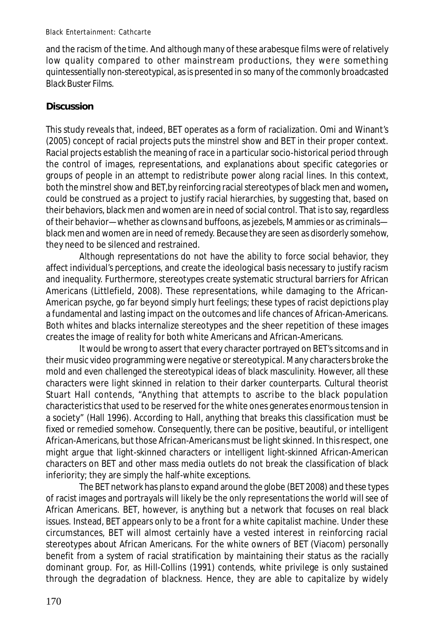and the racism of the time. And although many of these arabesque films were of relatively low quality compared to other mainstream productions, they were something quintessentially non-stereotypical, as is presented in so many of the commonly broadcasted *Black Buster Films*.

### **Discussion**

This study reveals that, indeed, BET operates as a form of racialization. Omi and Winant's (2005) concept of racial projects puts the minstrel show and BET in their proper context. Racial projects establish the meaning of race in a particular socio-historical period through the control of images, representations, and explanations about specific categories or groups of people in an attempt to redistribute power along racial lines. In this context, both the minstrel show and BET,by reinforcing racial stereotypes of black men and women**,** could be construed as a project to justify racial hierarchies, by suggesting that, based on their behaviors, black men and women are in need of social control. That is to say, regardless of their behavior—whether as clowns and buffoons, as jezebels, Mammies or as criminals black men and women are in need of remedy. Because they are seen as disorderly somehow, they need to be silenced and restrained.

Although representations do not have the ability to force social behavior, they affect individual's perceptions, and create the ideological basis necessary to justify racism and inequality. Furthermore, stereotypes create systematic structural barriers for African Americans (Littlefield, 2008). These representations, while damaging to the African-American psyche, go far beyond simply hurt feelings; these types of racist depictions play a fundamental and lasting impact on the outcomes and life chances of African-Americans. Both whites and blacks internalize stereotypes and the sheer repetition of these images creates the image of reality for both white Americans and African-Americans.

It would be wrong to assert that every character portrayed on BET's sitcoms and in their music video programming were negative or stereotypical. Many characters broke the mold and even challenged the stereotypical ideas of black masculinity. However, all these characters were light skinned in relation to their darker counterparts. Cultural theorist Stuart Hall contends, "Anything that attempts to ascribe to the black population characteristics that used to be reserved for the white ones generates enormous tension in a society" (Hall 1996). According to Hall, anything that breaks this classification must be fixed or remedied somehow. Consequently, there can be positive, beautiful, or intelligent African-Americans, but those African-Americans must be light skinned. In this respect, one might argue that light-skinned characters or intelligent light-skinned African-American characters on BET and other mass media outlets do not break the classification of black inferiority; they are simply the half-white exceptions.

The BET network has plans to expand around the globe (BET 2008) and these types of racist images and portrayals will likely be the only representations the world will see of African Americans. BET, however, is anything but a network that focuses on real black issues. Instead, BET appears only to be a front for a white capitalist machine. Under these circumstances, BET will almost certainly have a vested interest in reinforcing racial stereotypes about African Americans. For the white owners of BET (Viacom) personally benefit from a system of racial stratification by maintaining their status as the racially dominant group. For, as Hill-Collins (1991) contends, white privilege is only sustained through the degradation of blackness. Hence, they are able to capitalize by widely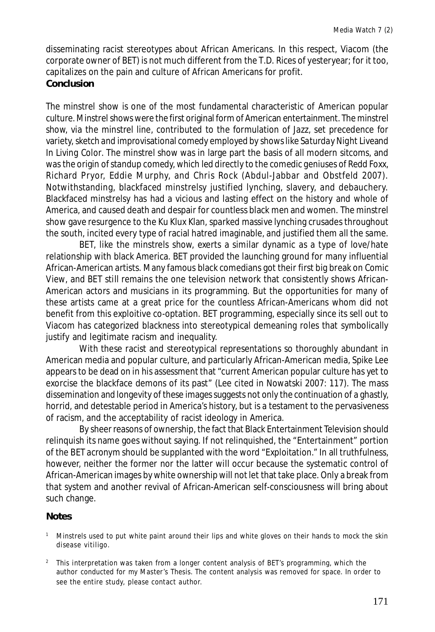disseminating racist stereotypes about African Americans. In this respect, Viacom (the corporate owner of BET) is not much different from the T.D. Rices of yesteryear; for it too, capitalizes on the pain and culture of African Americans for profit.

### **Conclusion**

The minstrel show is one of the most fundamental characteristic of American popular culture. Minstrel shows were the first original form of American entertainment. The minstrel show, via the minstrel line, contributed to the formulation of Jazz, set precedence for variety, sketch and improvisational comedy employed by shows like *Saturday Night Live*and *In Living Color*. The minstrel show was in large part the basis of all modern sitcoms, and was the origin of standup comedy, which led directly to the comedic geniuses of Redd Foxx, Richard Pryor, Eddie Murphy, and Chris Rock (Abdul-Jabbar and Obstfeld 2007). Notwithstanding, blackfaced minstrelsy justified lynching, slavery, and debauchery. Blackfaced minstrelsy has had a vicious and lasting effect on the history and whole of America, and caused death and despair for countless black men and women. The minstrel show gave resurgence to the Ku Klux Klan, sparked massive lynching crusades throughout the south, incited every type of racial hatred imaginable, and justified them all the same.

BET, like the minstrels show, exerts a similar dynamic as a type of love/hate relationship with black America. BET provided the launching ground for many influential African-American artists. Many famous black comedians got their first big break on *Comic View*, and BET still remains the one television network that consistently shows African-American actors and musicians in its programming. But the opportunities for many of these artists came at a great price for the countless African-Americans whom did not benefit from this exploitive co-optation. BET programming, especially since its sell out to Viacom has categorized blackness into stereotypical demeaning roles that symbolically justify and legitimate racism and inequality.

With these racist and stereotypical representations so thoroughly abundant in American media and popular culture, and particularly African-American media, Spike Lee appears to be dead on in his assessment that "current American popular culture has yet to exorcise the blackface demons of its past" (Lee cited in Nowatski 2007: 117). The mass dissemination and longevity of these images suggests not only the continuation of a ghastly, horrid, and detestable period in America's history, but is a testament to the pervasiveness of racism, and the acceptability of racist ideology in America.

By sheer reasons of ownership, the fact that Black Entertainment Television should relinquish its name goes without saying. If not relinquished, the "Entertainment" portion of the BET acronym should be supplanted with the word "Exploitation." In all truthfulness, however, neither the former nor the latter will occur because the systematic control of African-American images by white ownership will not let that take place. Only a break from that system and another revival of African-American self-consciousness will bring about such change.

#### **Notes**

- <sup>1</sup> Minstrels used to put white paint around their lips and white gloves on their hands to mock the skin disease vitiligo.
- <sup>2</sup> This interpretation was taken from a longer content analysis of BET's programming, which the author conducted for my Master's Thesis. The content analysis was removed for space. In order to see the entire study, please contact author.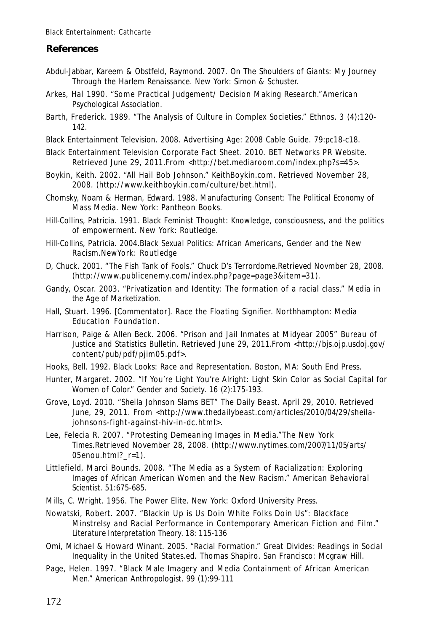### **References**

- Abdul-Jabbar, Kareem & Obstfeld, Raymond. 2007. *On The Shoulders of Giants: My Journey Through the Harlem Renaissance.* New York: Simon & Schuster.
- Arkes, Hal 1990. "Some Practical Judgement/ Decision Making Research."*American Psychological Association.*
- Barth, Frederick. 1989. "The Analysis of Culture in Complex Societies." *Ethnos.* 3 (4):120- 142.
- Black Entertainment Television. 2008. *Advertising Age: 2008 Cable Guide.* 79:pc18-c18.
- Black Entertainment Television Corporate Fact Sheet. 2010. *BET Networks PR Website*. Retrieved June 29, 2011. From <http://bet.mediaroom.com/index.php?s=45>.
- Boykin, Keith. 2002. "All Hail Bob Johnson." KeithBoykin.com. Retrieved November 28, 2008. (http://www.keithboykin.com/culture/bet.html).
- Chomsky, Noam & Herman, Edward. 1988. *Manufacturing Consent: The Political Economy of Mass Media.* New York: Pantheon Books.
- Hill-Collins, Patricia. 1991. *Black Feminist Thought: Knowledge, consciousness, and the politics of empowerment.* New York: Routledge.
- Hill-Collins, Patricia. 2004.*Black Sexual Politics: African Americans, Gender and the New Racism*.NewYork*:* Routledge
- D, Chuck. 2001. "The Fish Tank of Fools." *Chuck D's Terrordome.*Retrieved Novmber 28, 2008. (http://www.publicenemy.com/index.php?page=page3&item=31).
- Gandy, Oscar. 2003. "Privatization and Identity: The formation of a racial class." *Media in the Age of Marketization.*
- Hall, Stuart. 1996. [Commentator]. *Race the Floating Signifier.* Northhampton: Media Education Foundation.
- Harrison, Paige & Allen Beck. 2006. "Prison and Jail Inmates at Midyear 2005" *Bureau of Justice and Statistics Bulletin. Retrieved June 29, 2011.From <http://bjs.ojp.usdoj.gov/* content/pub/pdf/pjim05.pdf>.
- Hooks, Bell. 1992. *Black Looks: Race and Representation*. Boston, MA: South End Press.
- Hunter, Margaret. 2002. "If You're Light You're Alright: Light Skin Color as Social Capital for Women of Color." *Gender and Society.* 16 (2):175-193.
- Grove, Loyd. 2010. "Sheila Johnson Slams BET" *The Daily Beast.* April 29, 2010. Retrieved June, 29, 2011. From <http://www.thedailybeast.com/articles/2010/04/29/sheilajohnsons-fight-against-hiv-in-dc.html>.
- Lee, Felecia R. 2007. "Protesting Demeaning Images in Media."*The New York Times.*Retrieved November 28, 2008. (http://www.nytimes.com/2007/11/05/arts/ 05enou.html? r=1).
- Littlefield, Marci Bounds. 2008. "The Media as a System of Racialization: Exploring Images of African American Women and the New Racism." *American Behavioral Scientist.* 51:675-685.
- Mills, C. Wright. 1956. *The Power Elite.* New York: Oxford University Press.
- Nowatski, Robert. 2007. "Blackin Up is Us Doin White Folks Doin Us": Blackface Minstrelsy and Racial Performance in Contemporary American Fiction and Film." *Literature Interpretation Theory.* 18: 115-136
- Omi, Michael & Howard Winant. 2005. "Racial Formation." *Great Divides: Readings in Social Inequality in the United States.*ed. Thomas Shapiro. San Francisco: Mcgraw Hill.
- Page, Helen. 1997. "Black Male Imagery and Media Containment of African American Men." *American Anthropologist.* 99 (1):99-111